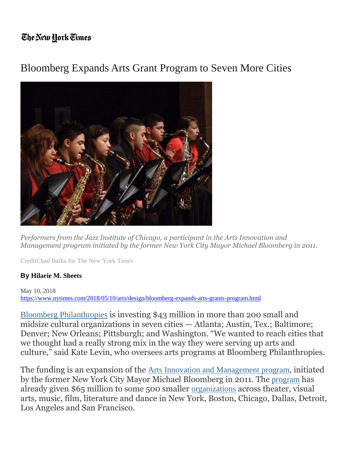## The New Hork Times

## Bloomberg Expands Arts Grant Program to Seven More Cities



*Performers from the Jazz Institute of Chicago, a participant in the Arts Innovation and Management program initiated by the former New York City Mayor Michael Bloomberg in 2011.*

CreditChad Batka for The New York Times

## **By [Hilarie](https://www.nytimes.com/by/hilarie-m-sheets) M. Sheets**

May 10, 2018 <https://www.nytimes.com/2018/05/10/arts/design/bloomberg-expands-arts-grants-program.html>

Bloomberg [Philanthropies](https://www.bloomberg.org/) is investing \$43 million in more than 200 small and midsize cultural organizations in seven cities — Atlanta; Austin, Tex.; Baltimore; Denver; New Orleans; Pittsburgh; and Washington. "We wanted to reach cities that we thought had a really strong mix in the way they were serving up arts and culture," said Kate Levin, who oversees arts programs at Bloomberg Philanthropies.

The funding is an expansion of the Arts Innovation and [Management](http://www.artnews.com/2015/09/15/bloomberg-philanthropies-awards-30-m-in-grants-to-262-arts-organizations/) program, initiated by the former New York City Mayor Michael Bloomberg in 2011. The [program](https://artsbeat.blogs.nytimes.com/2011/02/15/bloomberg-family-foundation-to-support-arts/) has already given \$65 million to some 500 smaller [organizations](https://artsbeat.blogs.nytimes.com/2015/06/23/bloomberg-names-winners-of-public-art-grants/) across theater, visual arts, music, film, literature and dance in New York, Boston, Chicago, Dallas, Detroit, Los Angeles and San Francisco.